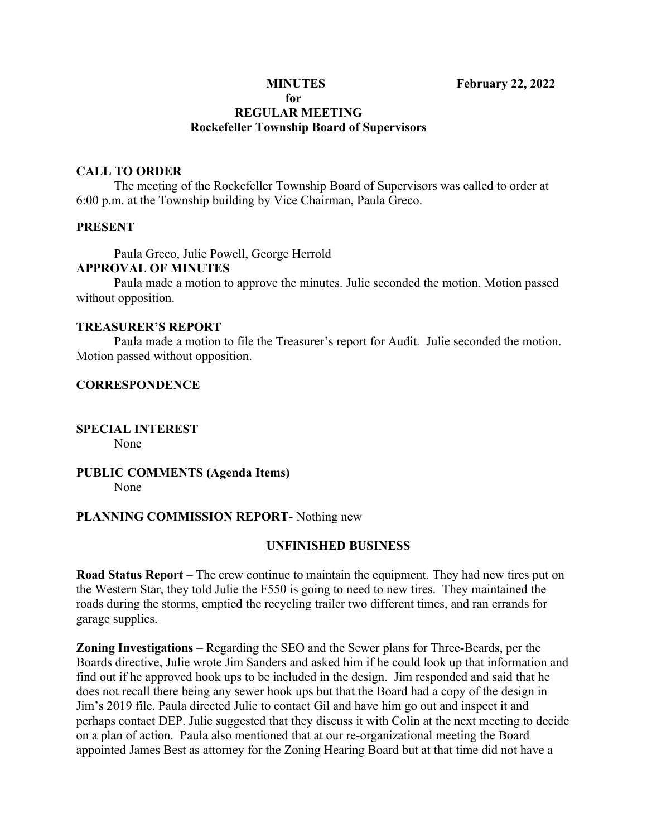#### **for REGULAR MEETING Rockefeller Township Board of Supervisors**

### **CALL TO ORDER**

The meeting of the Rockefeller Township Board of Supervisors was called to order at 6:00 p.m. at the Township building by Vice Chairman, Paula Greco.

#### **PRESENT**

Paula Greco, Julie Powell, George Herrold

# **APPROVAL OF MINUTES**

Paula made a motion to approve the minutes. Julie seconded the motion. Motion passed without opposition.

#### **TREASURER'S REPORT**

Paula made a motion to file the Treasurer's report for Audit. Julie seconded the motion. Motion passed without opposition.

#### **CORRESPONDENCE**

#### **SPECIAL INTEREST** None

#### **PUBLIC COMMENTS (Agenda Items)** None

#### **PLANNING COMMISSION REPORT-** Nothing new

#### **UNFINISHED BUSINESS**

**Road Status Report** – The crew continue to maintain the equipment. They had new tires put on the Western Star, they told Julie the F550 is going to need to new tires. They maintained the roads during the storms, emptied the recycling trailer two different times, and ran errands for garage supplies.

**Zoning Investigations** – Regarding the SEO and the Sewer plans for Three-Beards, per the Boards directive, Julie wrote Jim Sanders and asked him if he could look up that information and find out if he approved hook ups to be included in the design. Jim responded and said that he does not recall there being any sewer hook ups but that the Board had a copy of the design in Jim's 2019 file. Paula directed Julie to contact Gil and have him go out and inspect it and perhaps contact DEP. Julie suggested that they discuss it with Colin at the next meeting to decide on a plan of action. Paula also mentioned that at our re-organizational meeting the Board appointed James Best as attorney for the Zoning Hearing Board but at that time did not have a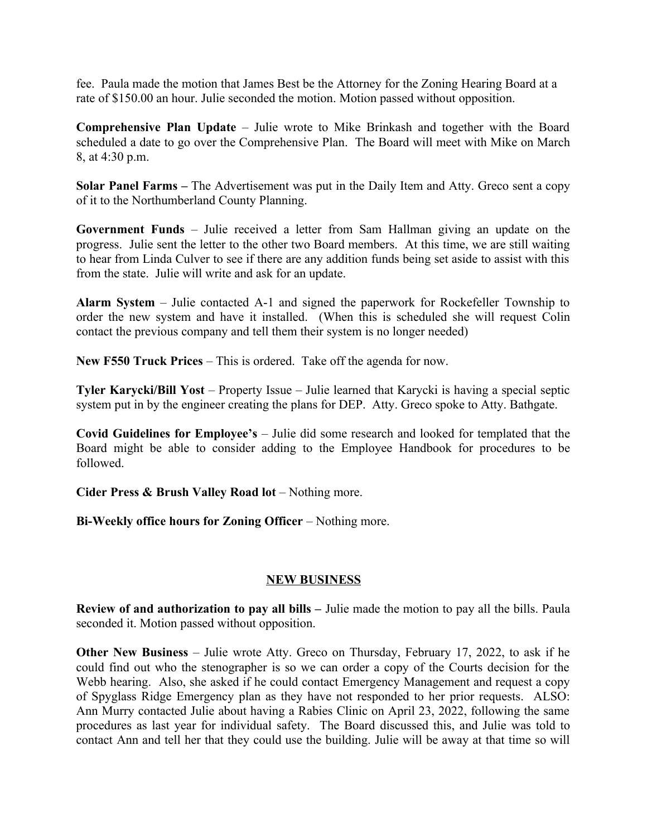fee. Paula made the motion that James Best be the Attorney for the Zoning Hearing Board at a rate of \$150.00 an hour. Julie seconded the motion. Motion passed without opposition.

**Comprehensive Plan Update** – Julie wrote to Mike Brinkash and together with the Board scheduled a date to go over the Comprehensive Plan. The Board will meet with Mike on March 8, at 4:30 p.m.

**Solar Panel Farms –** The Advertisement was put in the Daily Item and Atty. Greco sent a copy of it to the Northumberland County Planning.

**Government Funds** – Julie received a letter from Sam Hallman giving an update on the progress. Julie sent the letter to the other two Board members. At this time, we are still waiting to hear from Linda Culver to see if there are any addition funds being set aside to assist with this from the state. Julie will write and ask for an update.

**Alarm System** – Julie contacted A-1 and signed the paperwork for Rockefeller Township to order the new system and have it installed. (When this is scheduled she will request Colin contact the previous company and tell them their system is no longer needed)

**New F550 Truck Prices** – This is ordered. Take off the agenda for now.

**Tyler Karycki/Bill Yost** – Property Issue – Julie learned that Karycki is having a special septic system put in by the engineer creating the plans for DEP. Atty. Greco spoke to Atty. Bathgate.

**Covid Guidelines for Employee's** – Julie did some research and looked for templated that the Board might be able to consider adding to the Employee Handbook for procedures to be followed.

**Cider Press & Brush Valley Road lot** – Nothing more.

**Bi-Weekly office hours for Zoning Officer** – Nothing more.

## **NEW BUSINESS**

**Review of and authorization to pay all bills –** Julie made the motion to pay all the bills. Paula seconded it. Motion passed without opposition.

**Other New Business** – Julie wrote Atty. Greco on Thursday, February 17, 2022, to ask if he could find out who the stenographer is so we can order a copy of the Courts decision for the Webb hearing. Also, she asked if he could contact Emergency Management and request a copy of Spyglass Ridge Emergency plan as they have not responded to her prior requests. ALSO: Ann Murry contacted Julie about having a Rabies Clinic on April 23, 2022, following the same procedures as last year for individual safety. The Board discussed this, and Julie was told to contact Ann and tell her that they could use the building. Julie will be away at that time so will